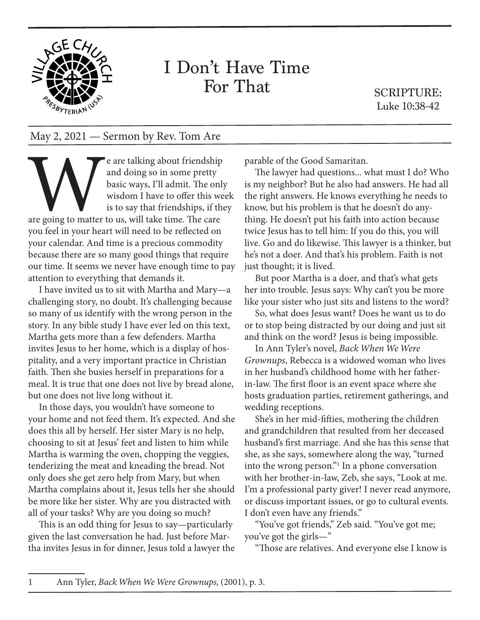

## I Don't Have Time For That

SCRIPTURE: Luke 10:38-42

## May 2, 2021 — Sermon by Rev. Tom Are

Example are talking about friendship<br>and doing so in some pretty<br>basic ways, I'll admit. The only<br>wisdom I have to offer this we<br>is to say that friendships, if the<br>are going to matter to us, will take time. The care<br>vou fe and doing so in some pretty basic ways, I'll admit. The only wisdom I have to offer this week is to say that friendships, if they

are going to matter to us, will take time. The care you feel in your heart will need to be reflected on your calendar. And time is a precious commodity because there are so many good things that require our time. It seems we never have enough time to pay attention to everything that demands it.

I have invited us to sit with Martha and Mary—a challenging story, no doubt. It's challenging because so many of us identify with the wrong person in the story. In any bible study I have ever led on this text, Martha gets more than a few defenders. Martha invites Jesus to her home, which is a display of hospitality, and a very important practice in Christian faith. Then she busies herself in preparations for a meal. It is true that one does not live by bread alone, but one does not live long without it.

In those days, you wouldn't have someone to your home and not feed them. It's expected. And she does this all by herself. Her sister Mary is no help, choosing to sit at Jesus' feet and listen to him while Martha is warming the oven, chopping the veggies, tenderizing the meat and kneading the bread. Not only does she get zero help from Mary, but when Martha complains about it, Jesus tells her she should be more like her sister. Why are you distracted with all of your tasks? Why are you doing so much?

This is an odd thing for Jesus to say—particularly given the last conversation he had. Just before Martha invites Jesus in for dinner, Jesus told a lawyer the parable of the Good Samaritan.

The lawyer had questions... what must I do? Who is my neighbor? But he also had answers. He had all the right answers. He knows everything he needs to know, but his problem is that he doesn't do anything. He doesn't put his faith into action because twice Jesus has to tell him: If you do this, you will live. Go and do likewise. This lawyer is a thinker, but he's not a doer. And that's his problem. Faith is not just thought; it is lived.

But poor Martha is a doer, and that's what gets her into trouble. Jesus says: Why can't you be more like your sister who just sits and listens to the word?

So, what does Jesus want? Does he want us to do or to stop being distracted by our doing and just sit and think on the word? Jesus is being impossible.

In Ann Tyler's novel, *Back When We Were Grownups*, Rebecca is a widowed woman who lives in her husband's childhood home with her fatherin-law. The first floor is an event space where she hosts graduation parties, retirement gatherings, and wedding receptions.

She's in her mid-fifties, mothering the children and grandchildren that resulted from her deceased husband's first marriage. And she has this sense that she, as she says, somewhere along the way, "turned into the wrong person."1 In a phone conversation with her brother-in-law, Zeb, she says, "Look at me. I'm a professional party giver! I never read anymore, or discuss important issues, or go to cultural events. I don't even have any friends."

"You've got friends," Zeb said. "You've got me; you've got the girls—"

"Those are relatives. And everyone else I know is